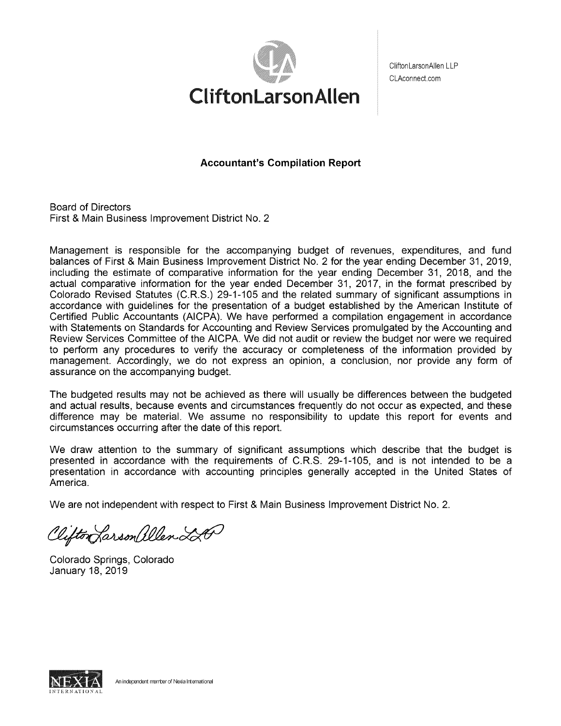

CliftonLarsonAllen LLF CLAconnect.com

**Accountant's Compilation Report** 

Board of Directors First & Main Business Improvement District No. 2

Management is responsible for the accompanying budget of revenues, expenditures, and fund balances of First & Main Business Improvement District No. 2 for the year ending December 31, 2019, including the estimate of comparative information for the year ending December 31, 2018, and the actual comparative information for the year ended December 31, 2017, in the format prescribed by Colorado Revised Statutes (C.R.S.) 29-1-105 and the related summary of significant assumptions in accordance with guidelines for the presentation of a budget established by the American Institute of Certified Public Accountants (AICPA). We have performed a compilation engagement in accordance with Statements on Standards for Accounting and Review Services promulgated by the Accounting and Review Services Committee of the AICPA. We did not audit or review the budget nor were we required to perform any procedures to verify the accuracy or completeness of the information provided by management. Accordingly, we do not express an opinion, a conclusion, nor provide any form of assurance on the accompanying budget.

The budgeted results may not be achieved as there will usually be differences between the budgeted and actual results, because events and circumstances frequently do not occur as expected, and these difference may be material. We assume no responsibility to update this report for events and circumstances occurring after the date of this report.

We draw attention to the summary of significant assumptions which describe that the budget is presented in accordance with the requirements of C.R.S. 29-1-105, and is not intended to be a presentation in accordance with accounting principles generally accepted in the United States of America.

We are not independent with respect to First & Main Business Improvement District No. 2.

Clifton Larson allen LA

Colorado Springs, Colorado January 18, 2019

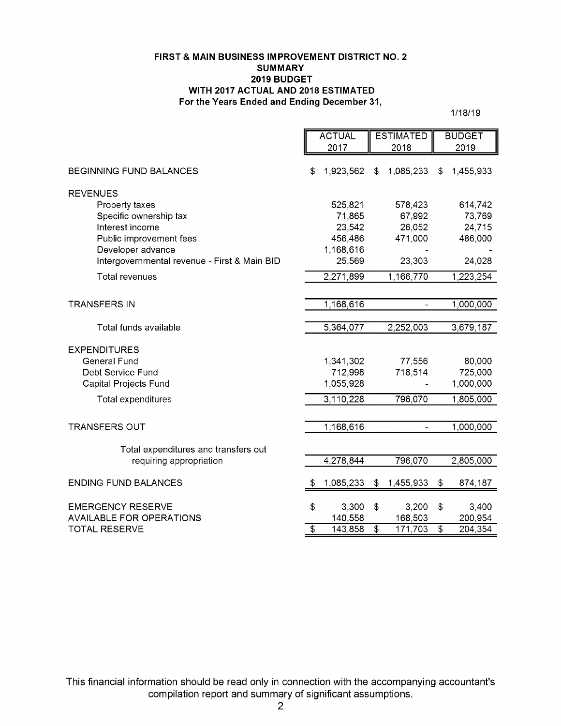### **FIRST & MAIN BUSINESS IMPROVEMENT DISTRICT NO. 2 SUMMARY 2019 BUDGET WITH 2017 ACTUAL AND 2018 ESTIMATED For the Years Ended and Ending December31,**

1/18/19

|                                              |                 | <b>ACTUAL</b> |                 | <b>ESTIMATED</b>         |                 | <b>BUDGET</b> |  |  |  |
|----------------------------------------------|-----------------|---------------|-----------------|--------------------------|-----------------|---------------|--|--|--|
|                                              |                 | 2017          |                 | 2018                     | 2019            |               |  |  |  |
| <b>BEGINNING FUND BALANCES</b>               | \$              | 1,923,562     | \$              | 1,085,233                | \$              | 1,455,933     |  |  |  |
| <b>REVENUES</b>                              |                 |               |                 |                          |                 |               |  |  |  |
| Property taxes                               |                 | 525,821       |                 | 578,423                  |                 | 614,742       |  |  |  |
| Specific ownership tax                       |                 | 71,865        |                 | 67,992                   |                 | 73,769        |  |  |  |
| Interest income                              |                 | 23,542        |                 | 26,052                   |                 | 24,715        |  |  |  |
| Public improvement fees                      |                 | 456,486       |                 | 471,000                  |                 | 486,000       |  |  |  |
| Developer advance                            |                 | 1,168,616     |                 |                          |                 |               |  |  |  |
| Intergovernmental revenue - First & Main BID |                 | 25,569        |                 | 23,303                   |                 | 24,028        |  |  |  |
| Total revenues                               |                 | 2,271,899     |                 | 1,166,770                |                 | 1,223,254     |  |  |  |
|                                              |                 |               |                 |                          |                 |               |  |  |  |
| <b>TRANSFERS IN</b>                          |                 | 1,168,616     |                 |                          |                 | 1,000,000     |  |  |  |
|                                              |                 |               |                 |                          |                 |               |  |  |  |
| Total funds available                        |                 | 5,364,077     |                 | 2,252,003                |                 | 3,679,187     |  |  |  |
|                                              |                 |               |                 |                          |                 |               |  |  |  |
| <b>EXPENDITURES</b>                          |                 |               |                 |                          |                 |               |  |  |  |
| <b>General Fund</b>                          |                 | 1,341,302     |                 | 77,556                   |                 | 80,000        |  |  |  |
| Debt Service Fund                            |                 | 712,998       |                 | 718,514                  |                 | 725,000       |  |  |  |
| Capital Projects Fund                        |                 | 1,055,928     |                 |                          |                 | 1,000,000     |  |  |  |
| Total expenditures                           |                 | 3,110,228     |                 | 796,070                  |                 | 1,805,000     |  |  |  |
|                                              |                 |               |                 |                          |                 |               |  |  |  |
| <b>TRANSFERS OUT</b>                         |                 | 1,168,616     |                 | $\overline{\phantom{a}}$ |                 | 1,000,000     |  |  |  |
|                                              |                 |               |                 |                          |                 |               |  |  |  |
| Total expenditures and transfers out         |                 |               |                 |                          |                 |               |  |  |  |
| requiring appropriation                      |                 | 4,278,844     |                 | 796,070                  |                 | 2,805,000     |  |  |  |
| <b>ENDING FUND BALANCES</b>                  | S               | 1,085,233     | $\frac{1}{2}$   | 1,455,933                | \$              | 874,187       |  |  |  |
|                                              |                 |               |                 |                          |                 |               |  |  |  |
| <b>EMERGENCY RESERVE</b>                     | \$              | 3,300         | \$              | 3,200                    | \$              | 3,400         |  |  |  |
| <b>AVAILABLE FOR OPERATIONS</b>              |                 | 140,558       |                 | 168,503                  |                 | 200,954       |  |  |  |
| <b>TOTAL RESERVE</b>                         | $\overline{\$}$ | 143,858       | $\overline{\$}$ | 171,703                  | $\overline{\$}$ | 204,354       |  |  |  |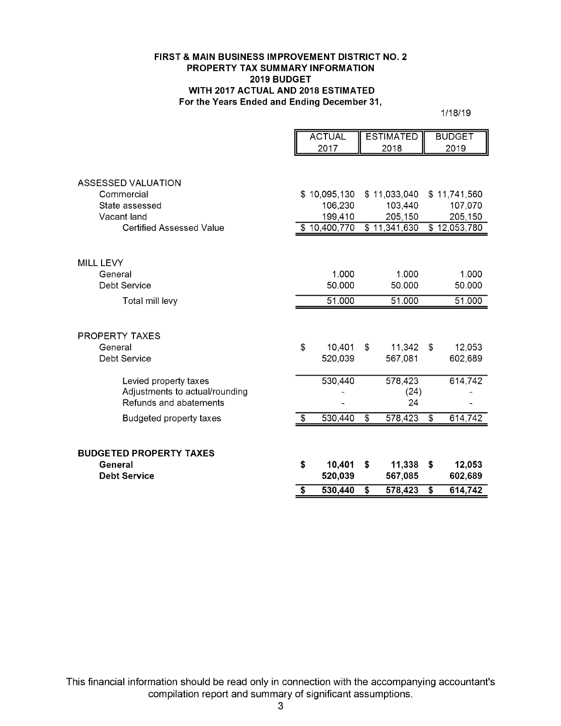### **FIRST & MAIN BUSINESS IMPROVEMENT DISTRICT NO. 2 PROPERTY TAX SUMMARY INFORMATION 2019 BUDGET WITH 2017 ACTUAL AND 2018 ESTIMATED For the Years Ended and Ending December31,**

1/18/19

|                                                          |    | <b>ACTUAL</b> |                 | <b>ESTIMATED</b> |                 | <b>BUDGET</b> |
|----------------------------------------------------------|----|---------------|-----------------|------------------|-----------------|---------------|
|                                                          |    | 2017          |                 | 2018             |                 | 2019          |
| <b>ASSESSED VALUATION</b>                                |    |               |                 |                  |                 |               |
| Commercial                                               |    | \$10,095,130  |                 | \$11,033,040     |                 | \$11,741,560  |
| State assessed                                           |    | 106,230       |                 | 103,440          |                 | 107,070       |
| Vacant land                                              |    | 199,410       |                 | 205,150          |                 | 205,150       |
| <b>Certified Assessed Value</b>                          |    | \$10,400,770  |                 | \$11,341,630     |                 | \$12,053,780  |
|                                                          |    |               |                 |                  |                 |               |
| <b>MILL LEVY</b>                                         |    |               |                 |                  |                 |               |
| General                                                  |    | 1.000         |                 | 1.000            |                 | 1.000         |
| <b>Debt Service</b>                                      |    | 50.000        |                 | 50.000           |                 | 50.000        |
| Total mill levy                                          |    | 51.000        |                 | 51.000           |                 | 51.000        |
| <b>PROPERTY TAXES</b>                                    |    |               |                 |                  |                 |               |
| General                                                  | \$ | 10,401        | \$              | 11,342           | -\$             | 12,053        |
| Debt Service                                             |    | 520,039       |                 | 567,081          |                 | 602,689       |
| Levied property taxes                                    |    | 530,440       |                 | 578,423          |                 | 614,742       |
| Adjustments to actual/rounding<br>Refunds and abatements |    |               |                 | (24)<br>24       |                 |               |
| <b>Budgeted property taxes</b>                           | \$ | 530,440       | $\overline{\$}$ | 578,423          | $\overline{\$}$ | 614,742       |
| <b>BUDGETED PROPERTY TAXES</b>                           |    |               |                 |                  |                 |               |
| General                                                  | S  | 10,401        | \$              | 11,338           | Ŝ.              | 12,053        |
| <b>Debt Service</b>                                      |    | 520,039       |                 | 567,085          |                 | 602,689       |
|                                                          | S  | 530,440       | \$              | 578,423          | \$              | 614,742       |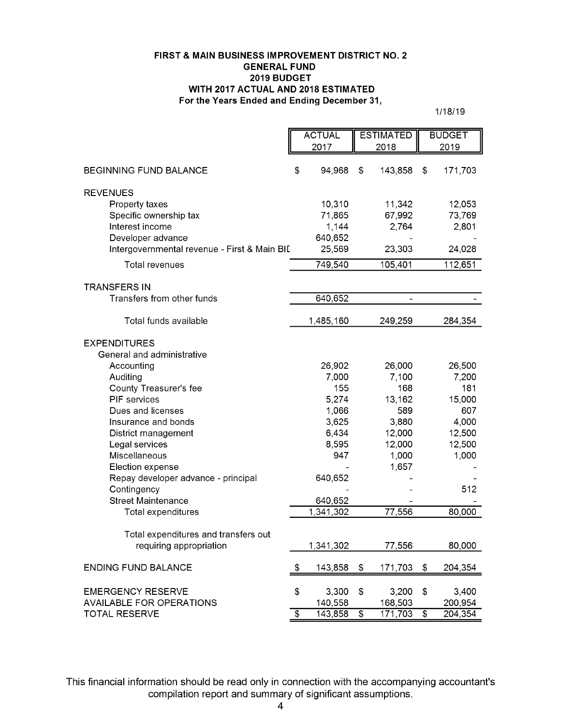### **FIRST & MAIN BUSINESS IMPROVEMENT DISTRICT NO. 2 GENERAL FUND 2019 BUDGET WITH 2017 ACTUAL AND 2018 ESTIMATED For the Years Ended and Ending December31,**

1/18/19

|                                              | <b>ACTUAL</b> |           |    | <b>ESTIMATED</b> |                 | <b>BUDGET</b> |
|----------------------------------------------|---------------|-----------|----|------------------|-----------------|---------------|
|                                              |               | 2017      |    | 2018             |                 | 2019          |
|                                              |               |           |    |                  |                 |               |
| <b>BEGINNING FUND BALANCE</b>                | \$            | 94,968    | \$ | 143,858          | \$              | 171,703       |
| <b>REVENUES</b>                              |               |           |    |                  |                 |               |
| Property taxes                               |               | 10,310    |    | 11,342           |                 | 12,053        |
| Specific ownership tax                       |               | 71,865    |    | 67,992           |                 | 73,769        |
| Interest income                              |               | 1,144     |    | 2,764            |                 | 2,801         |
| Developer advance                            |               | 640,652   |    |                  |                 |               |
| Intergovernmental revenue - First & Main BII |               | 25,569    |    | 23,303           |                 | 24,028        |
| <b>Total revenues</b>                        |               | 749,540   |    | 105,401          |                 | 112,651       |
| <b>TRANSFERS IN</b>                          |               |           |    |                  |                 |               |
| Transfers from other funds                   |               | 640,652   |    |                  |                 |               |
| Total funds available                        |               | 1,485,160 |    | 249,259          |                 | 284,354       |
| <b>EXPENDITURES</b>                          |               |           |    |                  |                 |               |
| General and administrative                   |               |           |    |                  |                 |               |
| Accounting                                   |               | 26,902    |    | 26,000           |                 | 26,500        |
| Auditing                                     |               | 7,000     |    | 7,100            |                 | 7,200         |
| County Treasurer's fee                       |               | 155       |    | 168              |                 | 181           |
| PIF services                                 |               | 5,274     |    | 13,162           |                 | 15,000        |
| Dues and licenses                            |               | 1,066     |    | 589              |                 | 607           |
| Insurance and bonds                          |               | 3,625     |    | 3,880            |                 | 4,000         |
| District management                          |               | 6,434     |    | 12,000           |                 | 12,500        |
| Legal services                               |               | 8,595     |    | 12,000           |                 | 12,500        |
| Miscellaneous                                |               | 947       |    | 1,000            |                 | 1,000         |
| Election expense                             |               |           |    | 1,657            |                 |               |
| Repay developer advance - principal          |               | 640,652   |    |                  |                 |               |
| Contingency                                  |               |           |    |                  |                 | 512           |
| <b>Street Maintenance</b>                    |               | 640,652   |    |                  |                 |               |
| Total expenditures                           |               | 1,341,302 |    | 77,556           |                 | 80,000        |
| Total expenditures and transfers out         |               |           |    |                  |                 |               |
| requiring appropriation                      |               | 1,341,302 |    | 77,556           |                 | 80,000        |
| <b>ENDING FUND BALANCE</b>                   | $\sqrt{2}$    | 143,858   | \$ | 171,703          | \$              | 204,354       |
| <b>EMERGENCY RESERVE</b>                     | \$            | 3,300     | \$ | 3,200            | \$              | 3,400         |
| <b>AVAILABLE FOR OPERATIONS</b>              |               | 140,558   |    | 168,503          |                 | 200,954       |
| <b>TOTAL RESERVE</b>                         | $\sqrt[6]{3}$ | 143,858   | \$ | 171,703          | $\overline{\$}$ | 204,354       |
|                                              |               |           |    |                  |                 |               |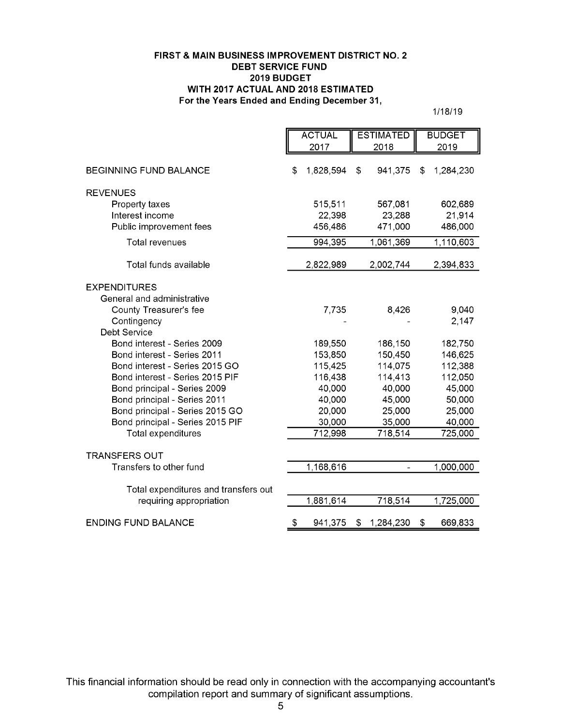### **FIRST & MAIN BUSINESS IMPROVEMENT DISTRICT NO. 2 DEBT SERVICE FUND 2019 BUDGET WITH 2017 ACTUAL AND 2018 ESTIMATED For the Years Ended and Ending December31,**

1/18/19

|                                      | <b>ACTUAL</b>   | <b>ESTIMATED</b> | <b>BUDGET</b>   |
|--------------------------------------|-----------------|------------------|-----------------|
|                                      | 2017            | 2018             | 2019            |
| <b>BEGINNING FUND BALANCE</b>        | \$<br>1,828,594 | 941,375<br>\$    | 1,284,230<br>\$ |
| <b>REVENUES</b>                      |                 |                  |                 |
| Property taxes                       | 515,511         | 567,081          | 602,689         |
| Interest income                      | 22,398          | 23,288           | 21,914          |
| Public improvement fees              | 456,486         | 471,000          | 486,000         |
| Total revenues                       | 994,395         | 1,061,369        | 1,110,603       |
| Total funds available                | 2,822,989       | 2,002,744        | 2,394,833       |
| <b>EXPENDITURES</b>                  |                 |                  |                 |
| General and administrative           |                 |                  |                 |
| County Treasurer's fee               | 7,735           | 8,426            | 9,040           |
| Contingency                          |                 |                  | 2,147           |
| Debt Service                         |                 |                  |                 |
| Bond interest - Series 2009          | 189,550         | 186,150          | 182,750         |
| Bond interest - Series 2011          | 153,850         | 150,450          | 146,625         |
| Bond interest - Series 2015 GO       | 115,425         | 114,075          | 112,388         |
| Bond interest - Series 2015 PIF      | 116,438         | 114,413          | 112,050         |
| Bond principal - Series 2009         | 40,000          | 40,000           | 45,000          |
| Bond principal - Series 2011         | 40,000          | 45,000           | 50,000          |
| Bond principal - Series 2015 GO      | 20,000          | 25,000           | 25,000          |
| Bond principal - Series 2015 PIF     | 30,000          | 35,000           | 40,000          |
| Total expenditures                   | 712,998         | 718,514          | 725,000         |
| <b>TRANSFERS OUT</b>                 |                 |                  |                 |
| Transfers to other fund              | 1,168,616       |                  | 1,000,000       |
| Total expenditures and transfers out |                 |                  |                 |
| requiring appropriation              | 1,881,614       | 718,514          | 1,725,000       |
| <b>ENDING FUND BALANCE</b>           | \$<br>941,375   | 1,284,230<br>\$  | \$<br>669,833   |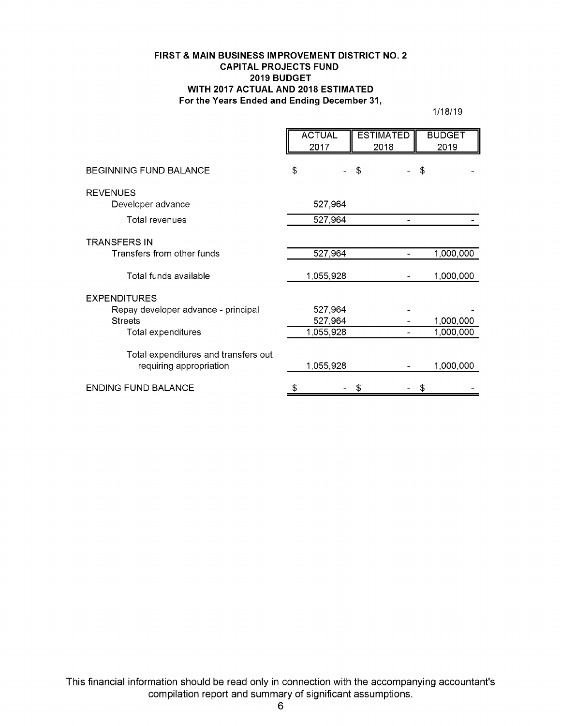### **FIRST & MAIN BUSINESS IMPROVEMENT DISTRICT NO. 2 CAPITAL PROJECTS FUND 2019 BUDGET WITH 2017 ACTUAL AND 2018 ESTIMATED For the Years Ended and Ending December31,**

1/18/19

|                                      | <b>ACTUAL</b><br>2017 | <b>ESTIMATED</b><br>2018 | <b>BUDGET</b><br>2019 |
|--------------------------------------|-----------------------|--------------------------|-----------------------|
| <b>BEGINNING FUND BALANCE</b>        | \$                    | \$                       | \$                    |
| <b>REVENUES</b>                      |                       |                          |                       |
| Developer advance                    | 527,964               |                          |                       |
| Total revenues                       | 527,964               |                          |                       |
| <b>TRANSFERS IN</b>                  |                       |                          |                       |
| Transfers from other funds           | 527,964               |                          | 1,000,000             |
| Total funds available                | 1,055,928             |                          | 1,000,000             |
| <b>EXPENDITURES</b>                  |                       |                          |                       |
| Repay developer advance - principal  | 527,964               |                          |                       |
| <b>Streets</b>                       | 527,964               |                          | 1,000,000             |
| Total expenditures                   | 1,055,928             |                          | 1,000,000             |
| Total expenditures and transfers out |                       |                          |                       |
| requiring appropriation              | 1,055,928             |                          | 1,000,000             |
| <b>ENDING FUND BALANCE</b>           |                       |                          |                       |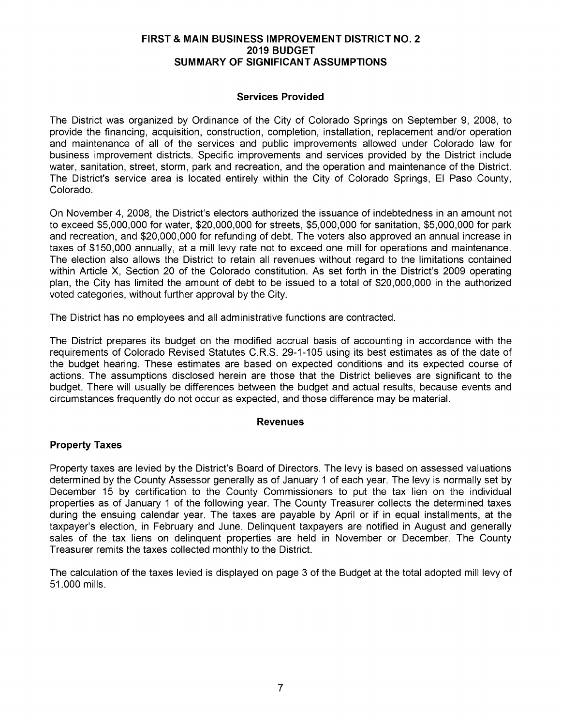## **FIRST** & **MAIN BUSINESS IMPROVEMENT DISTRICT NO. 2 2019 BUDGET SUMMARY OF SIGNIFICANT ASSUMPTIONS**

# **Services Provided**

The District was organized by Ordinance of the City of Colorado Springs on September 9, 2008, to provide the financing, acquisition, construction, completion, installation, replacement and/or operation and maintenance of all of the services and public improvements allowed under Colorado law for business improvement districts. Specific improvements and services provided by the District include water, sanitation, street, storm, park and recreation, and the operation and maintenance of the District. The District's service area is located entirely within the City of Colorado Springs, El Paso County, Colorado.

On November 4, 2008, the District's electors authorized the issuance of indebtedness in an amount not to exceed \$5,000,000 for water, \$20,000,000 for streets, \$5,000,000 for sanitation, \$5,000,000 for park and recreation, and \$20,000,000 for refunding of debt. The voters also approved an annual increase in taxes of \$150,000 annually, at a mill levy rate not to exceed one mill for operations and maintenance. The election also allows the District to retain all revenues without regard to the limitations contained within Article **X,** Section 20 of the Colorado constitution. As set forth in the District's 2009 operating plan, the City has limited the amount of debt to be issued to a total of \$20,000,000 in the authorized voted categories, without further approval by the City.

The District has no employees and all administrative functions are contracted.

The District prepares its budget on the modified accrual basis of accounting in accordance with the requirements of Colorado Revised Statutes C.R.S. 29-1-1 05 using its best estimates as of the date of the budget hearing. These estimates are based on expected conditions and its expected course of actions. The assumptions disclosed herein are those that the District believes are significant to the budget. There will usually be differences between the budget and actual results, because events and circumstances frequently do not occur as expected, and those difference may be material.

## **Revenues**

# **Property Taxes**

Property taxes are levied by the District's Board of Directors. The levy is based on assessed valuations determined by the County Assessor generally as of January 1 of each year. The levy is normally set by December 15 by certification to the County Commissioners to put the tax lien on the individual properties as of January 1 of the following year. The County Treasurer collects the determined taxes during the ensuing calendar year. The taxes are payable by April or if in equal installments, at the taxpayer's election, in February and June. Delinquent taxpayers are notified in August and generally sales of the tax liens on delinquent properties are held in November or December. The County Treasurer remits the taxes collected monthly to the District.

The calculation of the taxes levied is displayed on page 3 of the Budget at the total adopted mill levy of 51 .000 mills.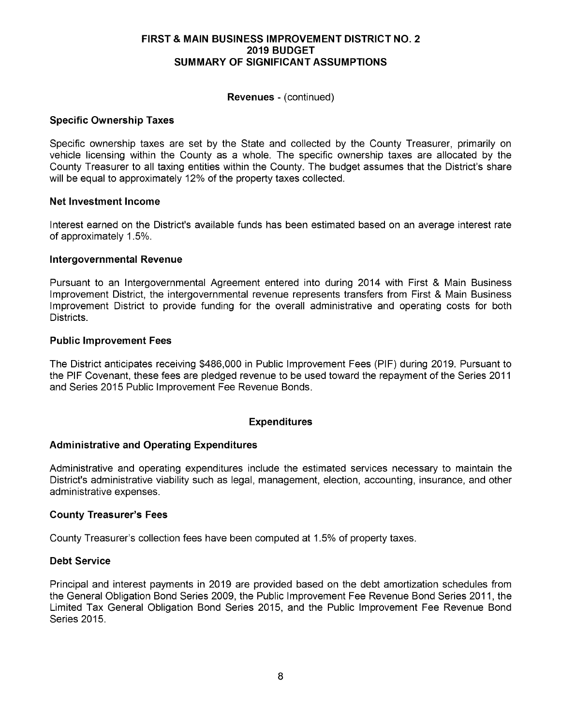## **FIRST & MAIN BUSINESS IMPROVEMENT DISTRICT NO. 2 2019 BUDGET SUMMARY OF SIGNIFICANT ASSUMPTIONS**

### **Revenues** - (continued)

## **Specific Ownership Taxes**

Specific ownership taxes are set by the State and collected by the County Treasurer, primarily on vehicle licensing within the County as a whole. The specific ownership taxes are allocated by the County Treasurer to all taxing entities within the County. The budget assumes that the District's share will be equal to approximately 12% of the property taxes collected.

#### **Net Investment Income**

Interest earned on the District's available funds has been estimated based on an average interest rate of approximately 1 .5%.

#### **Intergovernmental Revenue**

Pursuant to an Intergovernmental Agreement entered into during 2014 with First & Main Business Improvement District, the intergovernmental revenue represents transfers from First & Main Business Improvement District to provide funding for the overall administrative and operating costs for both Districts.

#### **Public Improvement Fees**

The District anticipates receiving \$486,000 in Public Improvement Fees (PIF) during 2019. Pursuant to the PIF Covenant, these fees are pledged revenue to be used toward the repayment of the Series 2011 and Series 2015 Public Improvement Fee Revenue Bonds.

## **Expenditures**

## **Administrative and Operating Expenditures**

Administrative and operating expenditures include the estimated services necessary to maintain the District's administrative viability such as legal, management, election, accounting, insurance, and other administrative expenses.

#### **County Treasurer's Fees**

County Treasurer's collection fees have been computed at 1.5% of property taxes.

#### **Debt Service**

Principal and interest payments in 2019 are provided based on the debt amortization schedules from the General Obligation Bond Series 2009, the Public Improvement Fee Revenue Bond Series 2011, the Limited Tax General Obligation Bond Series 2015, and the Public Improvement Fee Revenue Bond Series 2015.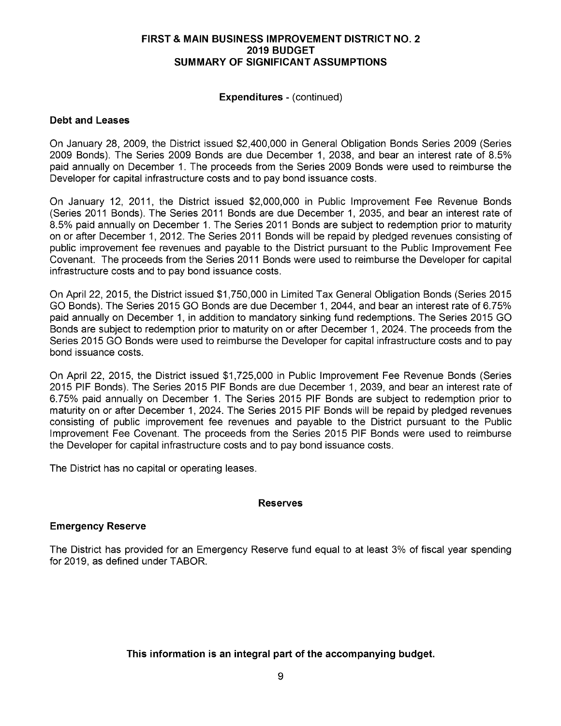## **FIRST & MAIN BUSINESS IMPROVEMENT DISTRICT NO. 2 2019 BUDGET SUMMARY OF SIGNIFICANT ASSUMPTIONS**

## **Expenditures** - (continued)

## **Debt and Leases**

On January 28, 2009, the District issued \$2,400,000 in General Obligation Bonds Series 2009 (Series 2009 Bonds). The Series 2009 Bonds are due December 1, 2038, and bear an interest rate of 8.5% paid annually on December 1. The proceeds from the Series 2009 Bonds were used to reimburse the Developer for capital infrastructure costs and to pay bond issuance costs.

On January 12, 2011, the District issued \$2,000,000 in Public Improvement Fee Revenue Bonds (Series 2011 Bonds). The Series 2011 Bonds are due December 1, 2035, and bear an interest rate of 8.5% paid annually on December 1. The Series 2011 Bonds are subject to redemption prior to maturity on or after December 1, 2012. The Series 2011 Bonds will be repaid by pledged revenues consisting of public improvement fee revenues and payable to the District pursuant to the Public Improvement Fee Covenant. The proceeds from the Series 2011 Bonds were used to reimburse the Developer for capital infrastructure costs and to pay bond issuance costs.

On April 22, 2015, the District issued \$1,750,000 in Limited Tax General Obligation Bonds (Series 2015 GO Bonds). The Series 2015 GO Bonds are due December 1, 2044, and bear an interest rate of 6.75% paid annually on December 1, in addition to mandatory sinking fund redemptions. The Series 2015 GO Bonds are subject to redemption prior to maturity on or after December 1, 2024. The proceeds from the Series 2015 GO Bonds were used to reimburse the Developer for capital infrastructure costs and to pay bond issuance costs.

On April 22, 2015, the District issued \$1,725,000 in Public Improvement Fee Revenue Bonds (Series 2015 PIF Bonds). The Series 2015 PIF Bonds are due December 1,2039, and bear an interest rate of 6.75% paid annually on December 1. The Series 2015 PIF Bonds are subject to redemption prior to maturity on or after December 1,2024. The Series 2015 PIF Bonds will be repaid by pledged revenues consisting of public improvement fee revenues and payable to the District pursuant to the Public Improvement Fee Covenant. The proceeds from the Series 2015 PIF Bonds were used to reimburse the Developer for capital infrastructure costs and to pay bond issuance costs.

The District has no capital or operating leases.

## **Reserves**

## **Emergency Reserve**

The District has provided for an Emergency Reserve fund equal to at least 3% of fiscal year spending for 2019, as defined under TABOR.

# **This information is an integral part of the accompanying budget.**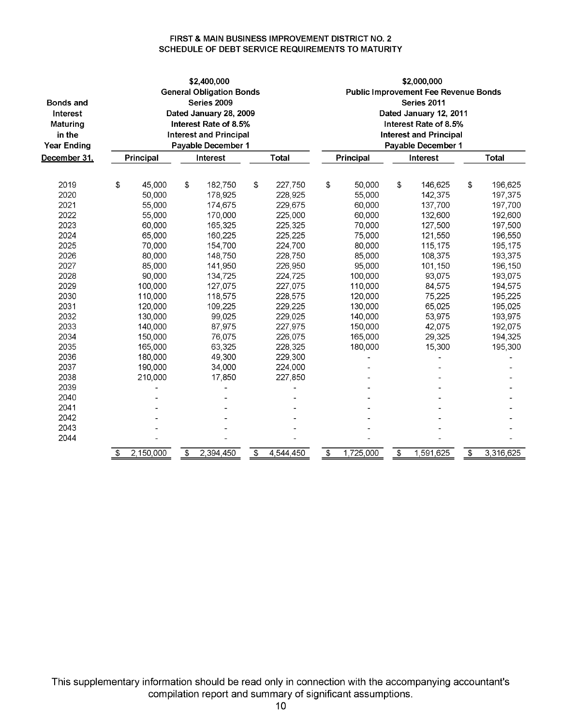#### **FIRST & MAIN BUSINESS IMPROVEMENT DISTRICT NO. 2 SCHEDULE OF DEBT SERVICE REQUIREMENTS TO MATURITY**

|                    |                        |             |                       | \$2,400,000                     |    |              | \$2,000,000                                 |                        |    |                               |    |              |  |  |
|--------------------|------------------------|-------------|-----------------------|---------------------------------|----|--------------|---------------------------------------------|------------------------|----|-------------------------------|----|--------------|--|--|
|                    |                        |             |                       | <b>General Obligation Bonds</b> |    |              | <b>Public Improvement Fee Revenue Bonds</b> |                        |    |                               |    |              |  |  |
| <b>Bonds and</b>   |                        | Series 2009 |                       |                                 |    |              |                                             | Series 2011            |    |                               |    |              |  |  |
| Interest           | Dated January 28, 2009 |             |                       |                                 |    |              |                                             | Dated January 12, 2011 |    |                               |    |              |  |  |
| Maturing           |                        |             | Interest Rate of 8.5% |                                 |    |              |                                             | Interest Rate of 8.5%  |    |                               |    |              |  |  |
| in the             |                        |             |                       | <b>Interest and Principal</b>   |    |              |                                             |                        |    | <b>Interest and Principal</b> |    |              |  |  |
| <b>Year Ending</b> |                        |             |                       | Payable December 1              |    |              |                                             |                        |    | Payable December 1            |    |              |  |  |
|                    |                        |             |                       |                                 |    | <b>Total</b> |                                             |                        |    |                               |    | <b>Total</b> |  |  |
| December 31,       |                        | Principal   |                       | Interest                        |    |              |                                             | Principal              |    | Interest                      |    |              |  |  |
|                    |                        |             |                       |                                 |    |              |                                             |                        |    |                               |    |              |  |  |
| 2019               | \$                     | 45,000      | \$                    | 182,750                         | \$ | 227,750      | \$                                          | 50,000                 | \$ | 146,625                       | \$ | 196,625      |  |  |
| 2020               |                        | 50,000      |                       | 178,925                         |    | 228,925      |                                             | 55,000                 |    | 142,375                       |    | 197,375      |  |  |
| 2021               |                        | 55,000      |                       | 174,675                         |    | 229,675      |                                             | 60,000                 |    | 137,700                       |    | 197,700      |  |  |
| 2022               |                        | 55,000      |                       | 170,000                         |    | 225,000      |                                             | 60,000                 |    | 132,600                       |    | 192,600      |  |  |
| 2023               |                        | 60,000      |                       | 165,325                         |    | 225,325      |                                             | 70,000                 |    | 127,500                       |    | 197,500      |  |  |
| 2024               |                        | 65,000      |                       | 160,225                         |    | 225,225      |                                             | 75,000                 |    | 121,550                       |    | 196,550      |  |  |
| 2025               |                        | 70,000      |                       | 154,700                         |    | 224,700      |                                             | 80,000                 |    | 115,175                       |    | 195,175      |  |  |
| 2026               |                        | 80,000      |                       | 148,750                         |    | 228,750      |                                             | 85,000                 |    | 108,375                       |    | 193,375      |  |  |
| 2027               |                        | 85,000      |                       | 141,950                         |    | 226,950      |                                             | 95,000                 |    | 101,150                       |    | 196,150      |  |  |
| 2028               |                        | 90,000      |                       | 134,725                         |    | 224,725      |                                             | 100,000                |    | 93,075                        |    | 193,075      |  |  |
| 2029               |                        | 100,000     |                       | 127,075                         |    | 227,075      |                                             | 110.000                |    | 84,575                        |    | 194,575      |  |  |
| 2030               |                        | 110,000     |                       | 118,575                         |    | 228,575      |                                             | 120,000                |    | 75,225                        |    | 195,225      |  |  |
| 2031               |                        | 120,000     |                       | 109,225                         |    | 229,225      |                                             | 130,000                |    | 65,025                        |    | 195,025      |  |  |
| 2032               |                        | 130,000     |                       | 99,025                          |    | 229,025      |                                             | 140,000                |    | 53,975                        |    | 193,975      |  |  |
| 2033               |                        | 140,000     |                       | 87,975                          |    | 227,975      |                                             | 150,000                |    | 42,075                        |    | 192,075      |  |  |
| 2034               |                        | 150,000     |                       | 76,075                          |    | 226,075      |                                             | 165.000                |    | 29,325                        |    | 194,325      |  |  |
| 2035               |                        | 165,000     |                       | 63,325                          |    | 228,325      |                                             | 180,000                |    | 15,300                        |    | 195,300      |  |  |
| 2036               |                        | 180,000     |                       | 49,300                          |    | 229,300      |                                             |                        |    |                               |    |              |  |  |
| 2037               |                        | 190,000     |                       | 34,000                          |    | 224,000      |                                             |                        |    |                               |    |              |  |  |
| 2038               |                        | 210,000     |                       | 17,850                          |    | 227,850      |                                             |                        |    |                               |    |              |  |  |
| 2039               |                        |             |                       |                                 |    |              |                                             |                        |    |                               |    |              |  |  |
| 2040               |                        |             |                       |                                 |    |              |                                             |                        |    |                               |    |              |  |  |
| 2041               |                        |             |                       |                                 |    |              |                                             |                        |    |                               |    |              |  |  |
| 2042               |                        |             |                       |                                 |    |              |                                             |                        |    |                               |    |              |  |  |
| 2043               |                        |             |                       |                                 |    |              |                                             |                        |    |                               |    |              |  |  |
| 2044               |                        |             |                       |                                 |    |              |                                             |                        |    |                               |    |              |  |  |
|                    | \$                     | 2,150,000   | \$                    | 2,394,450                       | \$ | 4,544,450    | \$                                          | 1,725,000              | \$ | 1,591,625                     | \$ | 3,316,625    |  |  |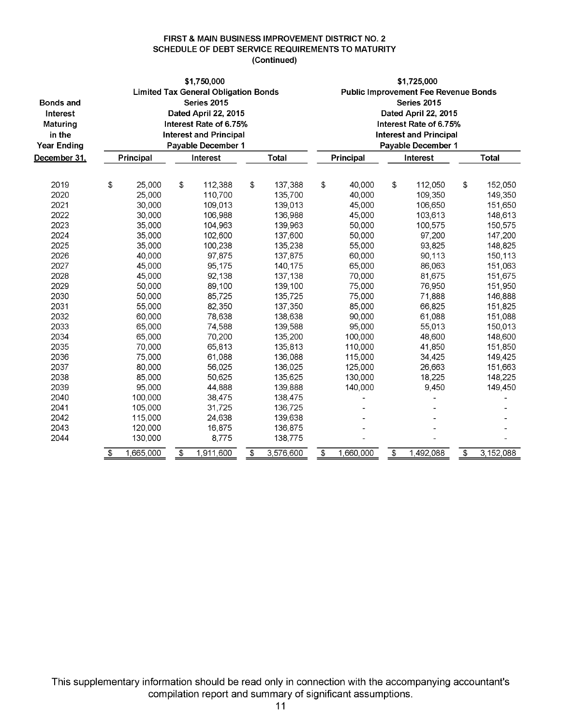#### **FIRST & MAIN BUSINESS IMPROVEMENT DISTRICT NO. 2 SCHEDULE OF DEBT SERVICE REQUIREMENTS TO MATURITY (Continued)**

|                    | \$1,750,000            |           |    |                                             |                       |              | \$1,725,000 |                        |    |                                             |                       |           |  |  |  |
|--------------------|------------------------|-----------|----|---------------------------------------------|-----------------------|--------------|-------------|------------------------|----|---------------------------------------------|-----------------------|-----------|--|--|--|
|                    |                        |           |    | <b>Limited Tax General Obligation Bonds</b> |                       |              |             |                        |    | <b>Public Improvement Fee Revenue Bonds</b> |                       |           |  |  |  |
| <b>Bonds and</b>   | Series 2015            |           |    |                                             |                       |              |             | Series 2015            |    |                                             |                       |           |  |  |  |
| Interest           | Dated April 22, 2015   |           |    |                                             |                       |              |             | Dated April 22, 2015   |    |                                             |                       |           |  |  |  |
| <b>Maturing</b>    | Interest Rate of 6.75% |           |    |                                             |                       |              |             | Interest Rate of 6.75% |    |                                             |                       |           |  |  |  |
| in the             |                        |           |    | <b>Interest and Principal</b>               |                       |              |             |                        |    | <b>Interest and Principal</b>               |                       |           |  |  |  |
| <b>Year Ending</b> |                        |           |    | Payable December 1                          |                       |              |             |                        |    | Payable December 1                          |                       |           |  |  |  |
| December 31,       |                        | Principal |    | Interest                                    |                       | <b>Total</b> |             | Principal              |    | Interest                                    | <b>Total</b>          |           |  |  |  |
|                    |                        |           |    |                                             |                       |              |             |                        |    |                                             |                       |           |  |  |  |
| 2019               | \$                     | 25,000    | \$ | 112,388                                     | \$                    | 137,388      | \$          | 40,000                 | \$ | 112,050                                     | \$                    | 152,050   |  |  |  |
| 2020               |                        | 25,000    |    | 110,700                                     |                       | 135,700      |             | 40,000                 |    | 109,350                                     |                       | 149,350   |  |  |  |
| 2021               |                        | 30,000    |    | 109,013                                     |                       | 139,013      |             | 45,000                 |    | 106,650                                     |                       | 151,650   |  |  |  |
| 2022               |                        | 30,000    |    | 106,988                                     |                       | 136,988      |             | 45,000                 |    | 103,613                                     |                       | 148,613   |  |  |  |
| 2023               |                        | 35,000    |    | 104,963                                     |                       | 139,963      |             | 50,000                 |    | 100,575                                     |                       | 150,575   |  |  |  |
| 2024               |                        | 35,000    |    | 102,600                                     |                       | 137,600      |             | 50,000                 |    | 97,200                                      |                       | 147,200   |  |  |  |
| 2025               |                        | 35,000    |    | 100,238                                     |                       | 135,238      |             | 55,000                 |    | 93,825                                      |                       | 148,825   |  |  |  |
| 2026               |                        | 40,000    |    | 97,875                                      |                       | 137,875      |             | 60,000                 |    | 90,113                                      |                       | 150,113   |  |  |  |
| 2027               |                        | 45,000    |    | 95,175                                      |                       | 140,175      |             | 65,000                 |    | 86,063                                      |                       | 151,063   |  |  |  |
| 2028               |                        | 45,000    |    | 92,138                                      |                       | 137,138      |             | 70,000                 |    | 81,675                                      |                       | 151,675   |  |  |  |
| 2029               |                        | 50,000    |    | 89,100                                      |                       | 139,100      |             | 75,000                 |    | 76,950                                      |                       | 151,950   |  |  |  |
| 2030               |                        | 50,000    |    | 85,725                                      |                       | 135,725      |             | 75,000                 |    | 71,888                                      |                       | 146,888   |  |  |  |
| 2031               |                        | 55,000    |    | 82,350                                      |                       | 137,350      |             | 85,000                 |    | 66,825                                      |                       | 151,825   |  |  |  |
| 2032               |                        | 60,000    |    | 78,638                                      |                       | 138,638      |             | 90,000                 |    | 61,088                                      |                       | 151,088   |  |  |  |
| 2033               |                        | 65,000    |    | 74,588                                      |                       | 139,588      |             | 95,000                 |    | 55,013                                      |                       | 150,013   |  |  |  |
| 2034               |                        | 65,000    |    | 70,200                                      |                       | 135,200      |             | 100,000                |    | 48,600                                      |                       | 148,600   |  |  |  |
| 2035               |                        | 70,000    |    | 65,813                                      |                       | 135,813      |             | 110,000                |    | 41,850                                      |                       | 151,850   |  |  |  |
| 2036               |                        | 75,000    |    | 61,088                                      |                       | 136,088      |             | 115,000                |    | 34,425                                      |                       | 149,425   |  |  |  |
| 2037               |                        | 80,000    |    | 56,025                                      |                       | 136,025      |             | 125,000                |    | 26,663                                      |                       | 151,663   |  |  |  |
| 2038               |                        | 85,000    |    | 50,625                                      |                       | 135,625      |             | 130,000                |    | 18,225                                      |                       | 148,225   |  |  |  |
| 2039               |                        | 95,000    |    | 44,888                                      |                       | 139,888      |             | 140,000                |    | 9,450                                       |                       | 149,450   |  |  |  |
| 2040               |                        | 100,000   |    | 38,475                                      |                       | 138,475      |             |                        |    |                                             |                       |           |  |  |  |
| 2041               |                        | 105,000   |    | 31,725                                      |                       | 136,725      |             |                        |    |                                             |                       |           |  |  |  |
| 2042               |                        | 115,000   |    | 24,638                                      |                       | 139,638      |             |                        |    |                                             |                       |           |  |  |  |
| 2043               |                        | 120,000   |    | 16,875                                      |                       | 136,875      |             |                        |    |                                             |                       |           |  |  |  |
| 2044               |                        | 130,000   |    | 8,775                                       |                       | 138,775      |             |                        |    |                                             |                       |           |  |  |  |
|                    | \$                     | 1,665,000 | \$ | 1,911,600                                   | $\boldsymbol{\theta}$ | 3,576,600    | \$          | 1,660,000              | \$ | 1,492,088                                   | $\boldsymbol{\theta}$ | 3,152,088 |  |  |  |